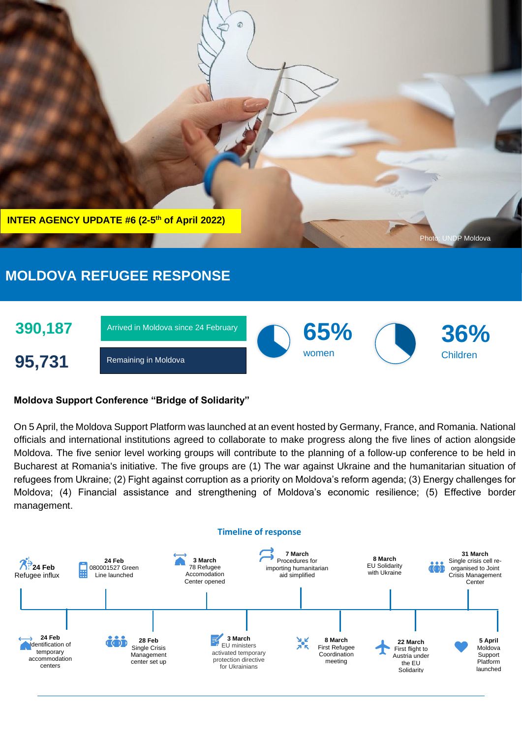

# **MOLDOVA REFUGEE RESPONSE**



## **Moldova Support Conference "Bridge of Solidarity"**

On 5 April, the Moldova Support Platform was launched at an event hosted by Germany, France, and Romania. National officials and international institutions agreed to collaborate to make progress along the five lines of action alongside Moldova. The five senior level working groups will contribute to the planning of a follow-up conference to be held in Bucharest at Romania's initiative. The five groups are (1) The war against Ukraine and the humanitarian situation of refugees from Ukraine; (2) Fight against corruption as a priority on Moldova's reform agenda; (3) Energy challenges for Moldova; (4) Financial assistance and strengthening of Moldova's economic resilience; (5) Effective border management.



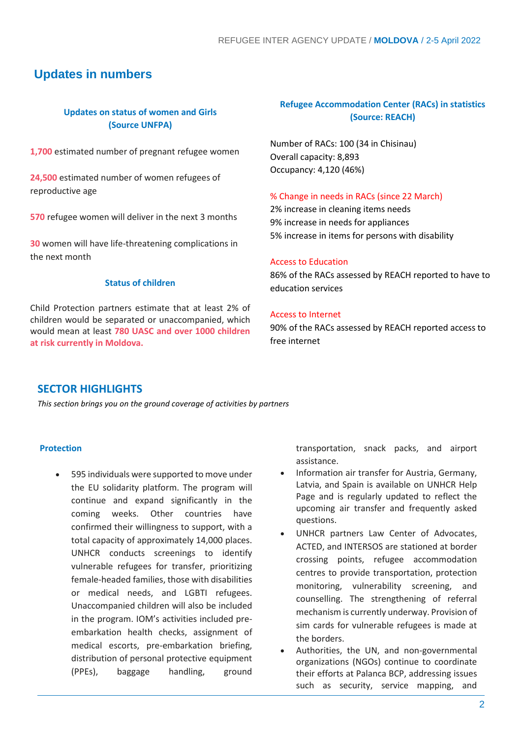## **Updates in numbers**

## **Updates on status of women and Girls (Source UNFPA)**

**1,700** estimated number of pregnant refugee women

**24,500** estimated number of women refugees of reproductive age

**570** refugee women will deliver in the next 3 months

**30** women will have life-threatening complications in the next month

#### **Status of children**

Child Protection partners estimate that at least 2% of children would be separated or unaccompanied, which would mean at least **780 UASC and over 1000 children at risk currently in Moldova.**

## **Refugee Accommodation Center (RACs) in statistics (Source: REACH)**

Number of RACs: 100 (34 in Chisinau) Overall capacity: 8,893 Occupancy: 4,120 (46%)

#### % Change in needs in RACs (since 22 March)

2% increase in cleaning items needs 9% increase in needs for appliances 5% increase in items for persons with disability

#### Access to Education

86% of the RACs assessed by REACH reported to have to education services

#### Access to Internet

90% of the RACs assessed by REACH reported access to free internet

## **SECTOR HIGHLIGHTS**

*This section brings you on the ground coverage of activities by partners*

#### **Protection**

• 595 individuals were supported to move under the EU solidarity platform. The program will continue and expand significantly in the coming weeks. Other countries have confirmed their willingness to support, with a total capacity of approximately 14,000 places. UNHCR conducts screenings to identify vulnerable refugees for transfer, prioritizing female-headed families, those with disabilities or medical needs, and LGBTI refugees. Unaccompanied children will also be included in the program. IOM's activities included preembarkation health checks, assignment of medical escorts, pre-embarkation briefing, distribution of personal protective equipment (PPEs), baggage handling, ground

transportation, snack packs, and airport assistance.

- Information air transfer for Austria, Germany, Latvia, and Spain is available on UNHCR Help Page and is regularly updated to reflect the upcoming air transfer and frequently asked questions.
- UNHCR partners Law Center of Advocates, ACTED, and INTERSOS are stationed at border crossing points, refugee accommodation centres to provide transportation, protection monitoring, vulnerability screening, and counselling. The strengthening of referral mechanism is currently underway. Provision of sim cards for vulnerable refugees is made at the borders.
- Authorities, the UN, and non-governmental organizations (NGOs) continue to coordinate their efforts at Palanca BCP, addressing issues such as security, service mapping, and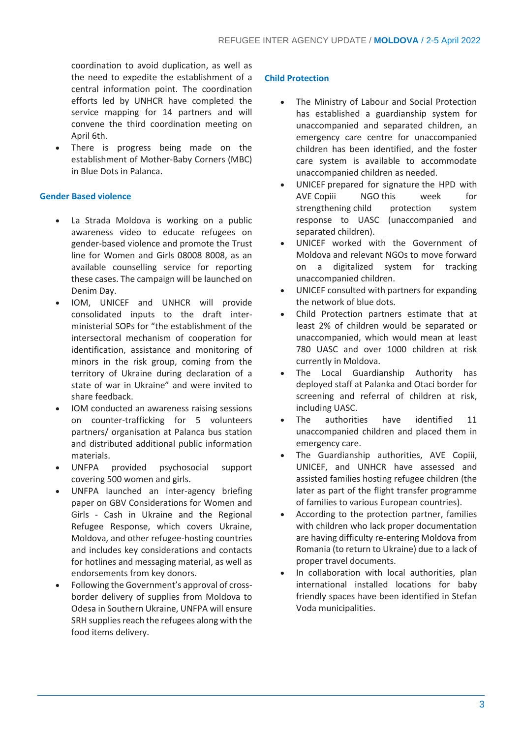coordination to avoid duplication, as well as the need to expedite the establishment of a central information point. The coordination efforts led by UNHCR have completed the service mapping for 14 partners and will convene the third coordination meeting on April 6th.

There is progress being made on the establishment of Mother-Baby Corners (MBC) in Blue Dots in Palanca.

#### **Gender Based violence**

- La Strada Moldova is working on a public awareness video to educate refugees on gender-based violence and promote the Trust line for Women and Girls 08008 8008, as an available counselling service for reporting these cases. The campaign will be launched on Denim Day.
- IOM, UNICEF and UNHCR will provide consolidated inputs to the draft interministerial SOPs for "the establishment of the intersectoral mechanism of cooperation for identification, assistance and monitoring of minors in the risk group, coming from the territory of Ukraine during declaration of a state of war in Ukraine" and were invited to share feedback.
- IOM conducted an awareness raising sessions on counter-trafficking for 5 volunteers partners/ organisation at Palanca bus station and distributed additional public information materials.
- UNFPA provided psychosocial support covering 500 women and girls.
- UNFPA launched an inter-agency briefing paper on GBV Considerations for Women and Girls - Cash in Ukraine and the Regional Refugee Response, which covers Ukraine, Moldova, and other refugee-hosting countries and includes key considerations and contacts for hotlines and messaging material, as well as endorsements from key donors.
- Following the Government's approval of crossborder delivery of supplies from Moldova to Odesa in Southern Ukraine, UNFPA will ensure SRH supplies reach the refugees along with the food items delivery.

#### **Child Protection**

- The Ministry of Labour and Social Protection has established a guardianship system for unaccompanied and separated children, an emergency care centre for unaccompanied children has been identified, and the foster care system is available to accommodate unaccompanied children as needed.
- UNICEF prepared for signature the HPD with AVE Copiii NGO this week for strengthening child protection system response to UASC (unaccompanied and separated children).
- UNICEF worked with the Government of Moldova and relevant NGOs to move forward on a digitalized system for tracking unaccompanied children.
- UNICEF consulted with partners for expanding the network of blue dots.
- Child Protection partners estimate that at least 2% of children would be separated or unaccompanied, which would mean at least 780 UASC and over 1000 children at risk currently in Moldova.
- The Local Guardianship Authority has deployed staff at Palanka and Otaci border for screening and referral of children at risk, including UASC.
- The authorities have identified 11 unaccompanied children and placed them in emergency care.
- The Guardianship authorities, AVE Copiii, UNICEF, and UNHCR have assessed and assisted families hosting refugee children (the later as part of the flight transfer programme of families to various European countries).
- According to the protection partner, families with children who lack proper documentation are having difficulty re-entering Moldova from Romania (to return to Ukraine) due to a lack of proper travel documents.
- In collaboration with local authorities, plan international installed locations for baby friendly spaces have been identified in Stefan Voda municipalities.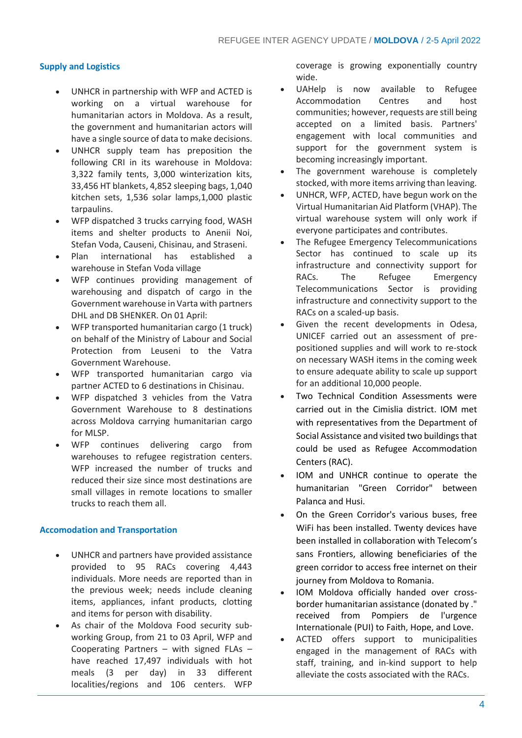#### **Supply and Logistics**

- UNHCR in partnership with WFP and ACTED is working on a virtual warehouse for humanitarian actors in Moldova. As a result, the government and humanitarian actors will have a single source of data to make decisions.
- UNHCR supply team has preposition the following CRI in its warehouse in Moldova: 3,322 family tents, 3,000 winterization kits, 33,456 HT blankets, 4,852 sleeping bags, 1,040 kitchen sets, 1,536 solar lamps,1,000 plastic tarpaulins.
- WFP dispatched 3 trucks carrying food, WASH items and shelter products to Anenii Noi, Stefan Voda, Causeni, Chisinau, and Straseni.
- Plan international has established a warehouse in Stefan Voda village
- WFP continues providing management of warehousing and dispatch of cargo in the Government warehouse in Varta with partners DHL and DB SHENKER. On 01 April:
- WFP transported humanitarian cargo (1 truck) on behalf of the Ministry of Labour and Social Protection from Leuseni to the Vatra Government Warehouse.
- WFP transported humanitarian cargo via partner ACTED to 6 destinations in Chisinau.
- WFP dispatched 3 vehicles from the Vatra Government Warehouse to 8 destinations across Moldova carrying humanitarian cargo for MLSP.
- WFP continues delivering cargo from warehouses to refugee registration centers. WFP increased the number of trucks and reduced their size since most destinations are small villages in remote locations to smaller trucks to reach them all.

#### **Accomodation and Transportation**

- UNHCR and partners have provided assistance provided to 95 RACs covering 4,443 individuals. More needs are reported than in the previous week; needs include cleaning items, appliances, infant products, clotting and items for person with disability.
- As chair of the Moldova Food security subworking Group, from 21 to 03 April, WFP and Cooperating Partners – with signed FLAs – have reached 17,497 individuals with hot meals (3 per day) in 33 different localities/regions and 106 centers. WFP

coverage is growing exponentially country wide.

- UAHelp is now available to Refugee Accommodation Centres and host communities; however, requests are still being accepted on a limited basis. Partners' engagement with local communities and support for the government system is becoming increasingly important.
- The government warehouse is completely stocked, with more items arriving than leaving.
- UNHCR, WFP, ACTED, have begun work on the Virtual Humanitarian Aid Platform (VHAP). The virtual warehouse system will only work if everyone participates and contributes.
- The Refugee Emergency Telecommunications Sector has continued to scale up its infrastructure and connectivity support for RACs. The Refugee Emergency Telecommunications Sector is providing infrastructure and connectivity support to the RACs on a scaled-up basis.
- Given the recent developments in Odesa, UNICEF carried out an assessment of prepositioned supplies and will work to re-stock on necessary WASH items in the coming week to ensure adequate ability to scale up support for an additional 10,000 people.
- Two Technical Condition Assessments were carried out in the Cimislia district. IOM met with representatives from the Department of Social Assistance and visited two buildings that could be used as Refugee Accommodation Centers (RAC).
- IOM and UNHCR continue to operate the humanitarian "Green Corridor" between Palanca and Husi.
- On the Green Corridor's various buses, free WiFi has been installed. Twenty devices have been installed in collaboration with Telecom's sans Frontiers, allowing beneficiaries of the green corridor to access free internet on their journey from Moldova to Romania.
- IOM Moldova officially handed over crossborder humanitarian assistance (donated by ." received from Pompiers de l'urgence Internationale (PUI) to Faith, Hope, and Love.
- ACTED offers support to municipalities engaged in the management of RACs with staff, training, and in-kind support to help alleviate the costs associated with the RACs.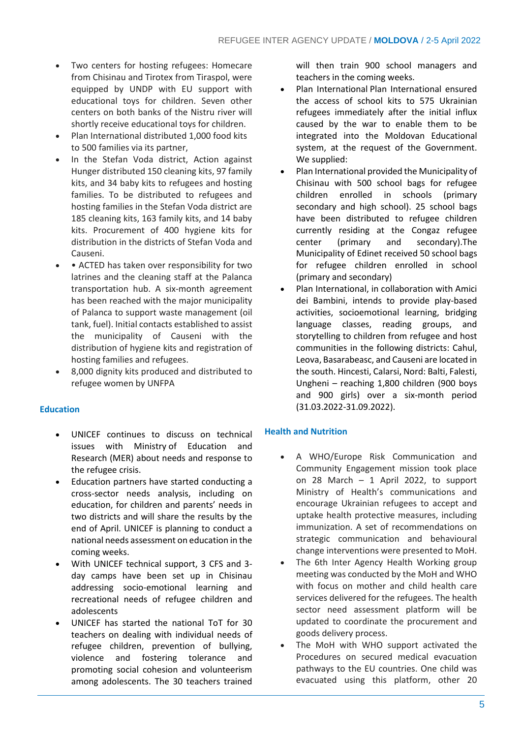- Two centers for hosting refugees: Homecare from Chisinau and Tirotex from Tiraspol, were equipped by UNDP with EU support with educational toys for children. Seven other centers on both banks of the Nistru river will shortly receive educational toys for children.
- Plan International distributed 1,000 food kits to 500 families via its partner,
- In the Stefan Voda district, Action against Hunger distributed 150 cleaning kits, 97 family kits, and 34 baby kits to refugees and hosting families. To be distributed to refugees and hosting families in the Stefan Voda district are 185 cleaning kits, 163 family kits, and 14 baby kits. Procurement of 400 hygiene kits for distribution in the districts of Stefan Voda and Causeni.
- ACTED has taken over responsibility for two latrines and the cleaning staff at the Palanca transportation hub. A six-month agreement has been reached with the major municipality of Palanca to support waste management (oil tank, fuel). Initial contacts established to assist the municipality of Causeni with the distribution of hygiene kits and registration of hosting families and refugees.
- 8,000 dignity kits produced and distributed to refugee women by UNFPA

#### **Education**

- UNICEF continues to discuss on technical issues with Ministry of Education and Research (MER) about needs and response to the refugee crisis.
- Education partners have started conducting a cross-sector needs analysis, including on education, for children and parents' needs in two districts and will share the results by the end of April. UNICEF is planning to conduct a national needs assessment on education in the coming weeks.
- With UNICEF technical support, 3 CFS and 3 day camps have been set up in Chisinau addressing socio-emotional learning and recreational needs of refugee children and adolescents
- UNICEF has started the national ToT for 30 teachers on dealing with individual needs of refugee children, prevention of bullying, violence and fostering tolerance and promoting social cohesion and volunteerism among adolescents. The 30 teachers trained

will then train 900 school managers and teachers in the coming weeks.

- Plan International Plan International ensured the access of school kits to 575 Ukrainian refugees immediately after the initial influx caused by the war to enable them to be integrated into the Moldovan Educational system, at the request of the Government. We supplied:
- Plan International provided the Municipality of Chisinau with 500 school bags for refugee children enrolled in schools (primary secondary and high school). 25 school bags have been distributed to refugee children currently residing at the Congaz refugee center (primary and secondary).The Municipality of Edinet received 50 school bags for refugee children enrolled in school (primary and secondary)
- Plan International, in collaboration with Amici dei Bambini, intends to provide play-based activities, socioemotional learning, bridging language classes, reading groups, and storytelling to children from refugee and host communities in the following districts: Cahul, Leova, Basarabeasc, and Causeni are located in the south. Hincesti, Calarsi, Nord: Balti, Falesti, Ungheni – reaching 1,800 children (900 boys and 900 girls) over a six-month period (31.03.2022-31.09.2022).

#### **Health and Nutrition**

- A WHO/Europe Risk Communication and Community Engagement mission took place on 28 March – 1 April 2022, to support Ministry of Health's communications and encourage Ukrainian refugees to accept and uptake health protective measures, including immunization. A set of recommendations on strategic communication and behavioural change interventions were presented to MoH.
- The 6th Inter Agency Health Working group meeting was conducted by the MoH and WHO with focus on mother and child health care services delivered for the refugees. The health sector need assessment platform will be updated to coordinate the procurement and goods delivery process.
- The MoH with WHO support activated the Procedures on secured medical evacuation pathways to the EU countries. One child was evacuated using this platform, other 20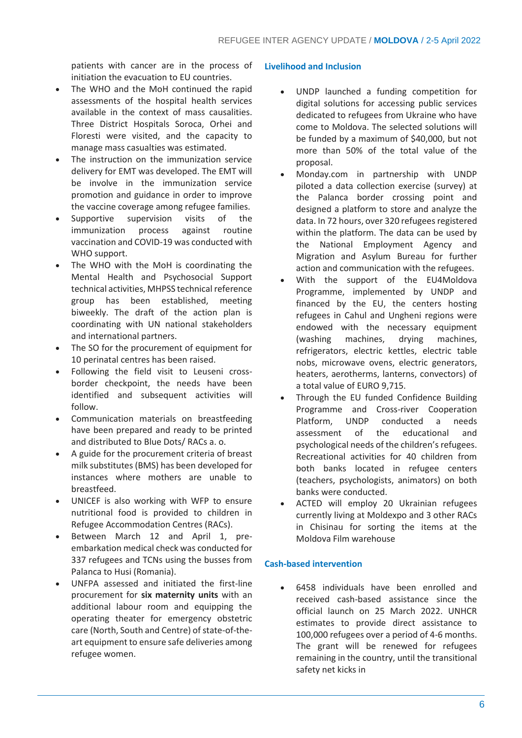patients with cancer are in the process of initiation the evacuation to EU countries.

- The WHO and the MoH continued the rapid assessments of the hospital health services available in the context of mass causalities. Three District Hospitals Soroca, Orhei and Floresti were visited, and the capacity to manage mass casualties was estimated.
- The instruction on the immunization service delivery for EMT was developed. The EMT will be involve in the immunization service promotion and guidance in order to improve the vaccine coverage among refugee families.
- Supportive supervision visits of the immunization process against routine vaccination and COVID-19 was conducted with WHO support.
- The WHO with the MoH is coordinating the Mental Health and Psychosocial Support technical activities, MHPSS technical reference group has been established, meeting biweekly. The draft of the action plan is coordinating with UN national stakeholders and international partners.
- The SO for the procurement of equipment for 10 perinatal centres has been raised.
- Following the field visit to Leuseni crossborder checkpoint, the needs have been identified and subsequent activities will follow.
- Communication materials on breastfeeding have been prepared and ready to be printed and distributed to Blue Dots/ RACs a. o.
- A guide for the procurement criteria of breast milk substitutes (BMS) has been developed for instances where mothers are unable to breastfeed.
- UNICEF is also working with WFP to ensure nutritional food is provided to children in Refugee Accommodation Centres (RACs).
- Between March 12 and April 1, preembarkation medical check was conducted for 337 refugees and TCNs using the busses from Palanca to Husi (Romania).
- UNFPA assessed and initiated the first-line procurement for **six maternity units** with an additional labour room and equipping the operating theater for emergency obstetric care (North, South and Centre) of state-of-theart equipment to ensure safe deliveries among refugee women.

#### **Livelihood and Inclusion**

- UNDP launched a funding competition for digital solutions for accessing public services dedicated to refugees from Ukraine who have come to Moldova. The selected solutions will be funded by a maximum of \$40,000, but not more than 50% of the total value of the proposal.
- Monday.com in partnership with UNDP piloted a data collection exercise (survey) at the Palanca border crossing point and designed a platform to store and analyze the data. In 72 hours, over 320 refugees registered within the platform. The data can be used by the National Employment Agency and Migration and Asylum Bureau for further action and communication with the refugees.
- With the support of the EU4Moldova Programme, implemented by UNDP and financed by the EU, the centers hosting refugees in Cahul and Ungheni regions were endowed with the necessary equipment (washing machines, drying machines, refrigerators, electric kettles, electric table nobs, microwave ovens, electric generators, heaters, aerotherms, lanterns, convectors) of a total value of EURO 9,715.
- Through the EU funded Confidence Building Programme and Cross-river Cooperation Platform, UNDP conducted a needs assessment of the educational and psychological needs of the children's refugees. Recreational activities for 40 children from both banks located in refugee centers (teachers, psychologists, animators) on both banks were conducted.
- ACTED will employ 20 Ukrainian refugees currently living at Moldexpo and 3 other RACs in Chisinau for sorting the items at the Moldova Film warehouse

#### **Cash-based intervention**

• 6458 individuals have been enrolled and received cash-based assistance since the official launch on 25 March 2022. UNHCR estimates to provide direct assistance to 100,000 refugees over a period of 4-6 months. The grant will be renewed for refugees remaining in the country, until the transitional safety net kicks in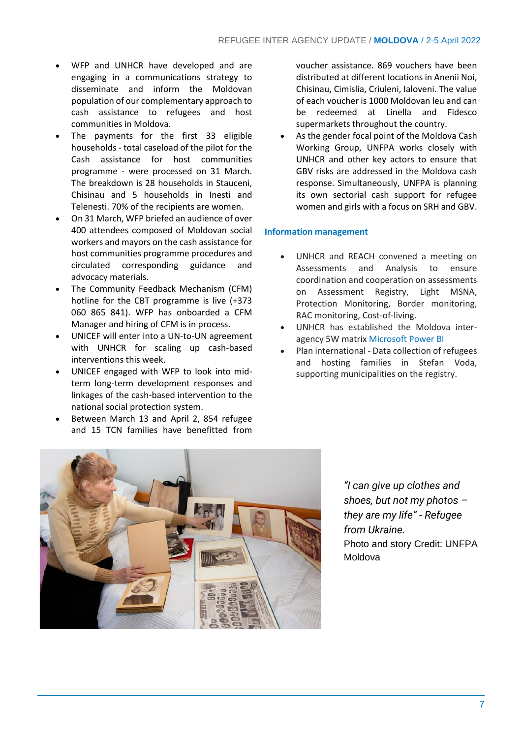- WFP and UNHCR have developed and are engaging in a communications strategy to disseminate and inform the Moldovan population of our complementary approach to cash assistance to refugees and host communities in Moldova.
- The payments for the first 33 eligible households - total caseload of the pilot for the Cash assistance for host communities programme - were processed on 31 March. The breakdown is 28 households in Stauceni, Chisinau and 5 households in Inesti and Telenesti. 70% of the recipients are women.
- On 31 March, WFP briefed an audience of over 400 attendees composed of Moldovan social workers and mayors on the cash assistance for host communities programme procedures and circulated corresponding guidance and advocacy materials.
- The Community Feedback Mechanism (CFM) hotline for the CBT programme is live (+373 060 865 841). WFP has onboarded a CFM Manager and hiring of CFM is in process.
- UNICEF will enter into a UN-to-UN agreement with UNHCR for scaling up cash-based interventions this week.
- UNICEF engaged with WFP to look into midterm long-term development responses and linkages of the cash-based intervention to the national social protection system.
- Between March 13 and April 2, 854 refugee and 15 TCN families have benefitted from

voucher assistance. 869 vouchers have been distributed at different locations in Anenii Noi, Chisinau, Cimislia, Criuleni, Ialoveni. The value of each voucher is 1000 Moldovan leu and can be redeemed at Linella and Fidesco supermarkets throughout the country.

As the gender focal point of the Moldova Cash Working Group, UNFPA works closely with UNHCR and other key actors to ensure that GBV risks are addressed in the Moldova cash response. Simultaneously, UNFPA is planning its own sectorial cash support for refugee women and girls with a focus on SRH and GBV.

#### **Information management**

- UNHCR and REACH convened a meeting on Assessments and Analysis to ensure coordination and cooperation on assessments on Assessment Registry, Light MSNA, Protection Monitoring, Border monitoring, RAC monitoring, Cost-of-living.
- UNHCR has established the Moldova interagency 5W matrix [Microsoft Power BI](https://app.powerbi.com/view?r=eyJrIjoiNDJiNGVkZmUtZGFiMS00YmNmLWJhZmYtNjgxZTIwMGVmODMyIiwidCI6ImU1YzM3OTgxLTY2NjQtNDEzNC04YTBjLTY1NDNkMmFmODBiZSIsImMiOjh9&pageName=ReportSection)
- Plan international Data collection of refugees and hosting families in Stefan Voda, supporting municipalities on the registry.



*"I can give up clothes and shoes, but not my photos – they are my life" - Refugee from Ukraine.*  Photo and story Credit: UNFPA Moldova